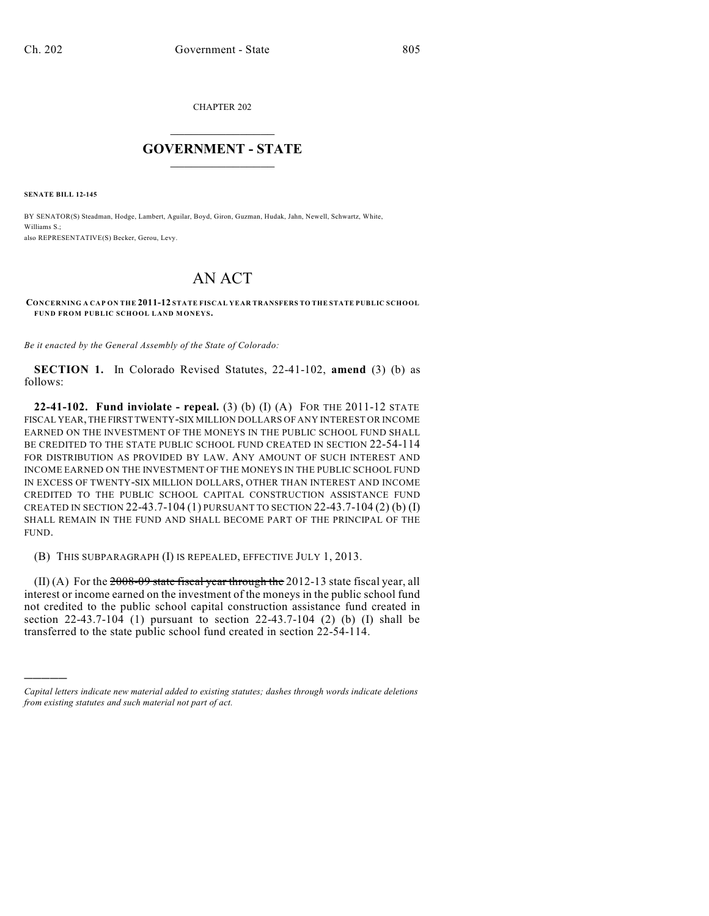CHAPTER 202

## $\mathcal{L}_\text{max}$  . The set of the set of the set of the set of the set of the set of the set of the set of the set of the set of the set of the set of the set of the set of the set of the set of the set of the set of the set **GOVERNMENT - STATE**  $\_$   $\_$

**SENATE BILL 12-145**

)))))

BY SENATOR(S) Steadman, Hodge, Lambert, Aguilar, Boyd, Giron, Guzman, Hudak, Jahn, Newell, Schwartz, White, Williams S.; also REPRESENTATIVE(S) Becker, Gerou, Levy.

## AN ACT

**CONCERNING A CAP ON THE 2011-12 STATE FISCAL YEAR TRANSFERS TO THE STATE PUBLIC SCHOOL FUND FROM PUBLIC SCHOOL LAND MONEYS.**

*Be it enacted by the General Assembly of the State of Colorado:*

**SECTION 1.** In Colorado Revised Statutes, 22-41-102, **amend** (3) (b) as follows:

**22-41-102. Fund inviolate - repeal.** (3) (b) (I) (A) FOR THE 2011-12 STATE FISCAL YEAR,THE FIRST TWENTY-SIX MILLION DOLLARS OF ANY INTEREST OR INCOME EARNED ON THE INVESTMENT OF THE MONEYS IN THE PUBLIC SCHOOL FUND SHALL BE CREDITED TO THE STATE PUBLIC SCHOOL FUND CREATED IN SECTION 22-54-114 FOR DISTRIBUTION AS PROVIDED BY LAW. ANY AMOUNT OF SUCH INTEREST AND INCOME EARNED ON THE INVESTMENT OF THE MONEYS IN THE PUBLIC SCHOOL FUND IN EXCESS OF TWENTY-SIX MILLION DOLLARS, OTHER THAN INTEREST AND INCOME CREDITED TO THE PUBLIC SCHOOL CAPITAL CONSTRUCTION ASSISTANCE FUND CREATED IN SECTION 22-43.7-104 (1) PURSUANT TO SECTION 22-43.7-104 (2) (b) (I) SHALL REMAIN IN THE FUND AND SHALL BECOME PART OF THE PRINCIPAL OF THE FUND.

(B) THIS SUBPARAGRAPH (I) IS REPEALED, EFFECTIVE JULY 1, 2013.

 $(II)$  (A) For the 2008-09 state fiscal year through the 2012-13 state fiscal year, all interest or income earned on the investment of the moneys in the public school fund not credited to the public school capital construction assistance fund created in section 22-43.7-104 (1) pursuant to section 22-43.7-104 (2) (b) (I) shall be transferred to the state public school fund created in section 22-54-114.

*Capital letters indicate new material added to existing statutes; dashes through words indicate deletions from existing statutes and such material not part of act.*